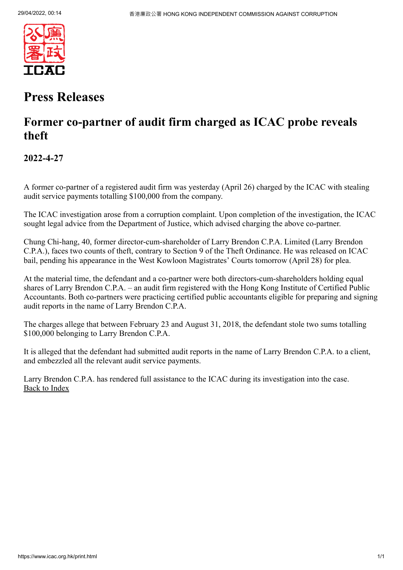

## **Press Releases**

### **Former co-partner of audit firm charged as ICAC probe reveals theft**

**2022-4-27**

A former co-partner of a registered audit firm was yesterday (April 26) charged by the ICAC with stealing audit service payments totalling \$100,000 from the company.

The ICAC investigation arose from a corruption complaint. Upon completion of the investigation, the ICAC sought legal advice from the Department of Justice, which advised charging the above co-partner.

Chung Chi-hang, 40, former director-cum-shareholder of Larry Brendon C.P.A. Limited (Larry Brendon C.P.A.), faces two counts of theft, contrary to Section 9 of the Theft Ordinance. He was released on ICAC bail, pending his appearance in the West Kowloon Magistrates' Courts tomorrow (April 28) for plea.

At the material time, the defendant and a co-partner were both directors-cum-shareholders holding equal shares of Larry Brendon C.P.A. – an audit firm registered with the Hong Kong Institute of Certified Public Accountants. Both co-partners were practicing certified public accountants eligible for preparing and signing audit reports in the name of Larry Brendon C.P.A.

The charges allege that between February 23 and August 31, 2018, the defendant stole two sums totalling \$100,000 belonging to Larry Brendon C.P.A.

It is alleged that the defendant had submitted audit reports in the name of Larry Brendon C.P.A. to a client, and embezzled all the relevant audit service payments.

Larry Brendon C.P.A. has rendered full assistance to the ICAC during its investigation into the case. [Back to Index](https://www.icac.org.hk/index.html)